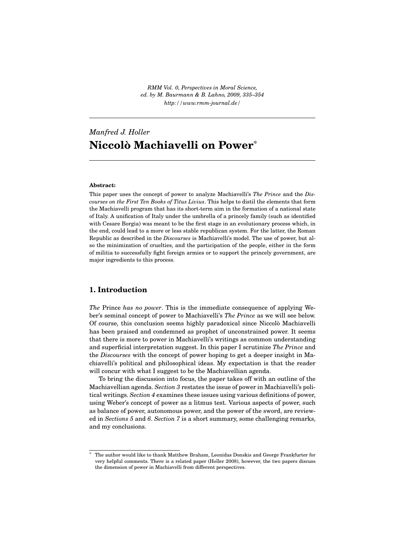*RMM Vol. 0, Perspectives in Moral Science, ed. by M. Baurmann & B. Lahno, 2009, 335–354 http://www.rmm-journal.de/*

# *Manfred J. Holler* **Niccolò Machiavelli on Power**\*

#### **Abstract:**

This paper uses the concept of power to analyze Machiavelli's *The Prince* and the *Discourses on the First Ten Books of Titus Livius*. This helps to distil the elements that form the Machiavelli program that has its short-term aim in the formation of a national state of Italy. A unification of Italy under the umbrella of a princely family (such as identified with Cesare Borgia) was meant to be the first stage in an evolutionary process which, in the end, could lead to a more or less stable republican system. For the latter, the Roman Republic as described in the *Discourses* is Machiavelli's model. The use of power, but also the minimization of cruelties, and the participation of the people, either in the form of militia to successfully fight foreign armies or to support the princely government, are major ingredients to this process.

## **1. Introduction**

*The* Prince *has no power*. This is the immediate consequence of applying Weber's seminal concept of power to Machiavelli's *The Prince* as we will see below. Of course, this conclusion seems highly paradoxical since Niccolò Machiavelli has been praised and condemned as prophet of unconstrained power. It seems that there is more to power in Machiavelli's writings as common understanding and superficial interpretation suggest. In this paper I scrutinize *The Prince* and the *Discourses* with the concept of power hoping to get a deeper insight in Machiavelli's political and philosophical ideas. My expectation is that the reader will concur with what I suggest to be the Machiavellian agenda.

To bring the discussion into focus, the paper takes off with an outline of the Machiavellian agenda. *Section 3* restates the issue of power in Machiavelli's political writings. *Section 4* examines these issues using various definitions of power, using Weber's concept of power as a litmus test. Various aspects of power, such as balance of power, autonomous power, and the power of the sword, are reviewed in *Sections 5* and *6*. *Section 7* is a short summary, some challenging remarks, and my conclusions.

<sup>\*</sup> The author would like to thank Matthew Braham, Leonidas Donskis and George Frankfurter for very helpful comments. There is a related paper (Holler 2008), however, the two papers discuss the dimension of power in Machiavelli from different perspectives.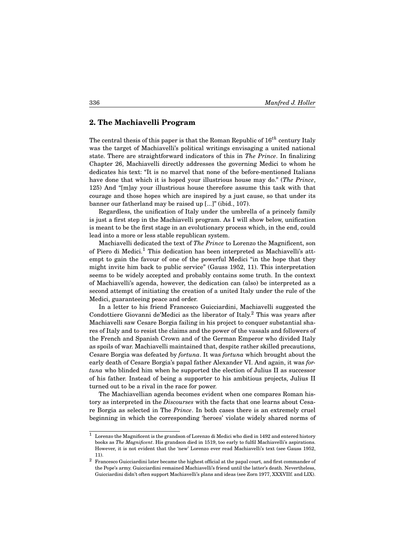## **2. The Machiavelli Program**

The central thesis of this paper is that the Roman Republic of 16*th* century Italy was the target of Machiavelli's political writings envisaging a united national state. There are straightforward indicators of this in *The Prince*. In finalizing Chapter 26, Machiavelli directly addresses the governing Medici to whom he dedicates his text: "It is no marvel that none of the before-mentioned Italians have done that which it is hoped your illustrious house may do." (*The Prince*, 125) And "[m]ay your illustrious house therefore assume this task with that courage and those hopes which are inspired by a just cause, so that under its banner our fatherland may be raised up [...]" (ibid., 107).

Regardless, the unification of Italy under the umbrella of a princely family is just a first step in the Machiavelli program. As I will show below, unification is meant to be the first stage in an evolutionary process which, in the end, could lead into a more or less stable republican system.

Machiavelli dedicated the text of *The Prince* to Lorenzo the Magnificent, son of Piero di Medici.<sup>1</sup> This dedication has been interpreted as Machiavelli's attempt to gain the favour of one of the powerful Medici "in the hope that they might invite him back to public service" (Gauss 1952, 11). This interpretation seems to be widely accepted and probably contains some truth. In the context of Machiavelli's agenda, however, the dedication can (also) be interpreted as a second attempt of initiating the creation of a united Italy under the rule of the Medici, guaranteeing peace and order.

In a letter to his friend Francesco Guicciardini, Machiavelli suggested the Condottiere Giovanni de'Medici as the liberator of Italy.<sup>2</sup> This was years after Machiavelli saw Cesare Borgia failing in his project to conquer substantial shares of Italy and to resist the claims and the power of the vassals and followers of the French and Spanish Crown and of the German Emperor who divided Italy as spoils of war. Machiavelli maintained that, despite rather skilled precautions, Cesare Borgia was defeated by *fortuna*. It was *fortuna* which brought about the early death of Cesare Borgia's papal father Alexander VI. And again, it was *fortuna* who blinded him when he supported the election of Julius II as successor of his father. Instead of being a supporter to his ambitious projects, Julius II turned out to be a rival in the race for power.

The Machiavellian agenda becomes evident when one compares Roman history as interpreted in the *Discourses* with the facts that one learns about Cesare Borgia as selected in The *Prince*. In both cases there is an extremely cruel beginning in which the corresponding 'heroes' violate widely shared norms of

 $1$  Lorenzo the Magnificent is the grandson of Lorenzo di Medici who died in 1492 and entered history books as *The Magnificent*. His grandson died in 1519, too early to fulfil Machiavelli's aspirations. However, it is not evident that the 'new' Lorenzo ever read Machiavelli's text (see Gauss 1952, 11).

 $^2\;$  Francesco Guicciardini later became the highest official at the papal court, and first commander of the Pope's army. Guicciardini remained Machiavelli's friend until the latter's death. Nevertheless, Guicciardini didn't often support Machiavelli's plans and ideas (see Zorn 1977, XXXVIIf. and LIX).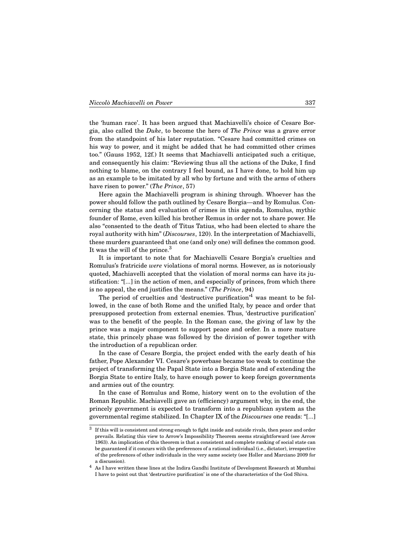the 'human race'. It has been argued that Machiavelli's choice of Cesare Borgia, also called the *Duke*, to become the hero of *The Prince* was a grave error from the standpoint of his later reputation. "Cesare had committed crimes on his way to power, and it might be added that he had committed other crimes too." (Gauss 1952, 12f.) It seems that Machiavelli anticipated such a critique, and consequently his claim: "Reviewing thus all the actions of the Duke, I find nothing to blame, on the contrary I feel bound, as I have done, to hold him up as an example to be imitated by all who by fortune and with the arms of others have risen to power." (*The Prince*, 57)

Here again the Machiavelli program is shining through. Whoever has the power should follow the path outlined by Cesare Borgia—and by Romulus. Concerning the status and evaluation of crimes in this agenda, Romulus, mythic founder of Rome, even killed his brother Remus in order not to share power. He also "consented to the death of Titus Tatius, who had been elected to share the royal authority with him" (*Discourses*, 120). In the interpretation of Machiavelli, these murders guaranteed that one (and only one) will defines the common good. It was the will of the prince.<sup>3</sup>

It is important to note that for Machiavelli Cesare Borgia's cruelties and Romulus's fratricide *were* violations of moral norms. However, as is notoriously quoted, Machiavelli accepted that the violation of moral norms can have its justification: "[...] in the action of men, and especially of princes, from which there is no appeal, the end justifies the means." (*The Prince*, 94)

The period of cruelties and 'destructive purification'4 was meant to be followed, in the case of both Rome and the unified Italy, by peace and order that presupposed protection from external enemies. Thus, 'destructive purification' was to the benefit of the people. In the Roman case, the giving of law by the prince was a major component to support peace and order. In a more mature state, this princely phase was followed by the division of power together with the introduction of a republican order.

In the case of Cesare Borgia, the project ended with the early death of his father, Pope Alexander VI. Cesare's powerbase became too weak to continue the project of transforming the Papal State into a Borgia State and of extending the Borgia State to entire Italy, to have enough power to keep foreign governments and armies out of the country.

In the case of Romulus and Rome, history went on to the evolution of the Roman Republic. Machiavelli gave an (efficiency) argument why, in the end, the princely government is expected to transform into a republican system as the governmental regime stabilized. In Chapter IX of the *Discourses* one reads: "[...]

<sup>&</sup>lt;sup>3</sup> If this will is consistent and strong enough to fight inside and outside rivals, then peace and order prevails. Relating this view to Arrow's Impossibility Theorem seems straightforward (see Arrow 1963). An implication of this theorem is that a consistent and complete ranking of social state can be guaranteed if it concurs with the preferences of a rational individual (i.e., dictator), irrespective of the preferences of other individuals in the very same society (see Holler and Marciano 2009 for a discussion).

<sup>4</sup> As I have written these lines at the Indira Gandhi Institute of Development Research at Mumbai I have to point out that 'destructive purification' is one of the characteristics of the God Shiva.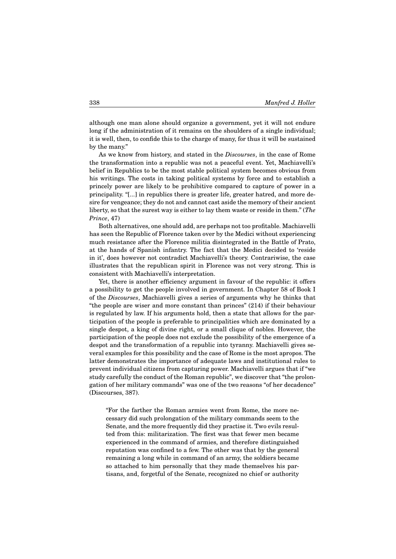although one man alone should organize a government, yet it will not endure long if the administration of it remains on the shoulders of a single individual; it is well, then, to confide this to the charge of many, for thus it will be sustained by the many."

As we know from history, and stated in the *Discourses*, in the case of Rome the transformation into a republic was not a peaceful event. Yet, Machiavelli's belief in Republics to be the most stable political system becomes obvious from his writings. The costs in taking political systems by force and to establish a princely power are likely to be prohibitive compared to capture of power in a principality. "[...] in republics there is greater life, greater hatred, and more desire for vengeance; they do not and cannot cast aside the memory of their ancient liberty, so that the surest way is either to lay them waste or reside in them." (*The Prince*, 47)

Both alternatives, one should add, are perhaps not too profitable. Machiavelli has seen the Republic of Florence taken over by the Medici without experiencing much resistance after the Florence militia disintegrated in the Battle of Prato, at the hands of Spanish infantry. The fact that the Medici decided to 'reside in it', does however not contradict Machiavelli's theory. Contrariwise, the case illustrates that the republican spirit in Florence was not very strong. This is consistent with Machiavelli's interpretation.

Yet, there is another efficiency argument in favour of the republic: it offers a possibility to get the people involved in government. In Chapter 58 of Book I of the *Discourses*, Machiavelli gives a series of arguments why he thinks that "the people are wiser and more constant than princes" (214) if their behaviour is regulated by law. If his arguments hold, then a state that allows for the participation of the people is preferable to principalities which are dominated by a single despot, a king of divine right, or a small clique of nobles. However, the participation of the people does not exclude the possibility of the emergence of a despot and the transformation of a republic into tyranny. Machiavelli gives several examples for this possibility and the case of Rome is the most apropos. The latter demonstrates the importance of adequate laws and institutional rules to prevent individual citizens from capturing power. Machiavelli argues that if "we study carefully the conduct of the Roman republic", we discover that "the prolongation of her military commands" was one of the two reasons "of her decadence" (Discourses, 387).

"For the farther the Roman armies went from Rome, the more necessary did such prolongation of the military commands seem to the Senate, and the more frequently did they practise it. Two evils resulted from this: militarization. The first was that fewer men became experienced in the command of armies, and therefore distinguished reputation was confined to a few. The other was that by the general remaining a long while in command of an army, the soldiers became so attached to him personally that they made themselves his partisans, and, forgetful of the Senate, recognized no chief or authority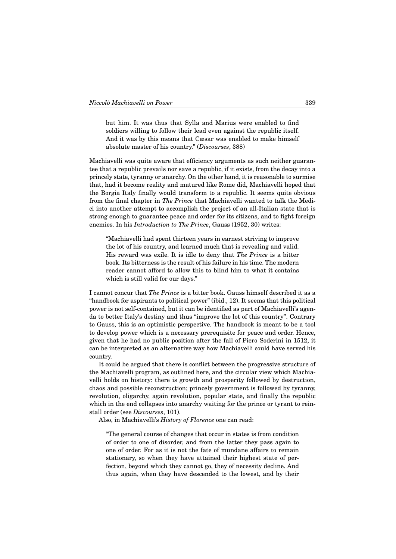but him. It was thus that Sylla and Marius were enabled to find soldiers willing to follow their lead even against the republic itself. And it was by this means that Cæsar was enabled to make himself absolute master of his country." (*Discourses*, 388)

Machiavelli was quite aware that efficiency arguments as such neither guarantee that a republic prevails nor save a republic, if it exists, from the decay into a princely state, tyranny or anarchy. On the other hand, it is reasonable to surmise that, had it become reality and matured like Rome did, Machiavelli hoped that the Borgia Italy finally would transform to a republic. It seems quite obvious from the final chapter in *The Prince* that Machiavelli wanted to talk the Medici into another attempt to accomplish the project of an all-Italian state that is strong enough to guarantee peace and order for its citizens, and to fight foreign enemies. In his *Introduction to The Prince*, Gauss (1952, 30) writes:

"Machiavelli had spent thirteen years in earnest striving to improve the lot of his country, and learned much that is revealing and valid. His reward was exile. It is idle to deny that *The Prince* is a bitter book. Its bitterness is the result of his failure in his time. The modern reader cannot afford to allow this to blind him to what it contains which is still valid for our days."

I cannot concur that *The Prince* is a bitter book. Gauss himself described it as a "handbook for aspirants to political power" (ibid., 12). It seems that this political power is not self-contained, but it can be identified as part of Machiavelli's agenda to better Italy's destiny and thus "improve the lot of this country". Contrary to Gauss, this is an optimistic perspective. The handbook is meant to be a tool to develop power which is a necessary prerequisite for peace and order. Hence, given that he had no public position after the fall of Piero Soderini in 1512, it can be interpreted as an alternative way how Machiavelli could have served his country.

It could be argued that there is conflict between the progressive structure of the Machiavelli program, as outlined here, and the circular view which Machiavelli holds on history: there is growth and prosperity followed by destruction, chaos and possible reconstruction; princely government is followed by tyranny, revolution, oligarchy, again revolution, popular state, and finally the republic which in the end collapses into anarchy waiting for the prince or tyrant to reinstall order (see *Discourses*, 101).

Also, in Machiavelli's *History of Florence* one can read:

"The general course of changes that occur in states is from condition of order to one of disorder, and from the latter they pass again to one of order. For as it is not the fate of mundane affairs to remain stationary, so when they have attained their highest state of perfection, beyond which they cannot go, they of necessity decline. And thus again, when they have descended to the lowest, and by their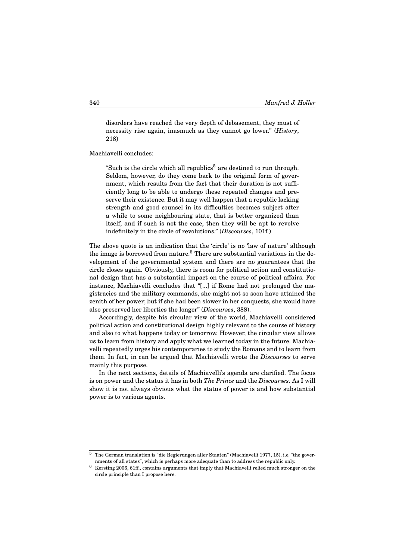disorders have reached the very depth of debasement, they must of necessity rise again, inasmuch as they cannot go lower." (*History*, 218)

Machiavelli concludes:

"Such is the circle which all republics<sup>5</sup> are destined to run through. Seldom, however, do they come back to the original form of government, which results from the fact that their duration is not sufficiently long to be able to undergo these repeated changes and preserve their existence. But it may well happen that a republic lacking strength and good counsel in its difficulties becomes subject after a while to some neighbouring state, that is better organized than itself; and if such is not the case, then they will be apt to revolve indefinitely in the circle of revolutions." (*Discourses*, 101f.)

The above quote is an indication that the 'circle' is no 'law of nature' although the image is borrowed from nature.<sup>6</sup> There are substantial variations in the development of the governmental system and there are no guarantees that the circle closes again. Obviously, there is room for political action and constitutional design that has a substantial impact on the course of political affairs. For instance, Machiavelli concludes that "[...] if Rome had not prolonged the magistracies and the military commands, she might not so soon have attained the zenith of her power; but if she had been slower in her conquests, she would have also preserved her liberties the longer" (*Discourses*, 388).

Accordingly, despite his circular view of the world, Machiavelli considered political action and constitutional design highly relevant to the course of history and also to what happens today or tomorrow. However, the circular view allows us to learn from history and apply what we learned today in the future. Machiavelli repeatedly urges his contemporaries to study the Romans and to learn from them. In fact, in can be argued that Machiavelli wrote the *Discourses* to serve mainly this purpose.

In the next sections, details of Machiavelli's agenda are clarified. The focus is on power and the status it has in both *The Prince* and the *Discourses*. As I will show it is not always obvious what the status of power is and how substantial power is to various agents.

<sup>5</sup> The German translation is "die Regierungen aller Staaten" (Machiavelli 1977, 15), i.e. "the governments of all states", which is perhaps more adequate than to address the republic only.

 $6$  Kersting 2006, 61ff., contains arguments that imply that Machiavelli relied much stronger on the circle principle than I propose here.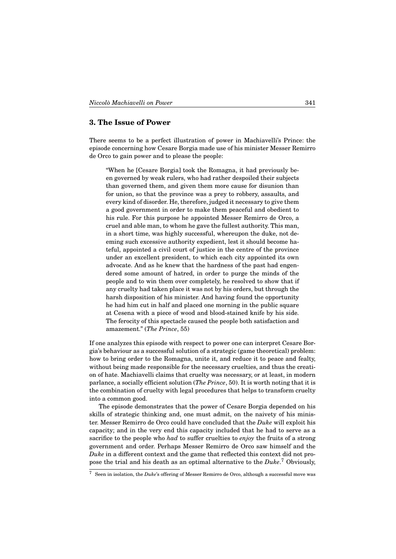## **3. The Issue of Power**

There seems to be a perfect illustration of power in Machiavelli's Prince: the episode concerning how Cesare Borgia made use of his minister Messer Remirro de Orco to gain power and to please the people:

"When he [Cesare Borgia] took the Romagna, it had previously been governed by weak rulers, who had rather despoiled their subjects than governed them, and given them more cause for disunion than for union, so that the province was a prey to robbery, assaults, and every kind of disorder. He, therefore, judged it necessary to give them a good government in order to make them peaceful and obedient to his rule. For this purpose he appointed Messer Remirro de Orco, a cruel and able man, to whom he gave the fullest authority. This man, in a short time, was highly successful, whereupon the duke, not deeming such excessive authority expedient, lest it should become hateful, appointed a civil court of justice in the centre of the province under an excellent president, to which each city appointed its own advocate. And as he knew that the hardness of the past had engendered some amount of hatred, in order to purge the minds of the people and to win them over completely, he resolved to show that if any cruelty had taken place it was not by his orders, but through the harsh disposition of his minister. And having found the opportunity he had him cut in half and placed one morning in the public square at Cesena with a piece of wood and blood-stained knife by his side. The ferocity of this spectacle caused the people both satisfaction and amazement." (*The Prince*, 55)

If one analyzes this episode with respect to power one can interpret Cesare Borgia's behaviour as a successful solution of a strategic (game theoretical) problem: how to bring order to the Romagna, unite it, and reduce it to peace and fealty, without being made responsible for the necessary cruelties, and thus the creation of hate. Machiavelli claims that cruelty was necessary, or at least, in modern parlance, a socially efficient solution (*The Prince*, 50). It is worth noting that it is the combination of cruelty with legal procedures that helps to transform cruelty into a common good.

The episode demonstrates that the power of Cesare Borgia depended on his skills of strategic thinking and, one must admit, on the naivety of his minister. Messer Remirro de Orco could have concluded that the *Duke* will exploit his capacity; and in the very end this capacity included that he had to serve as a sacrifice to the people who *had* to suffer cruelties to *enjoy* the fruits of a strong government and order. Perhaps Messer Remirro de Orco saw himself and the *Duke* in a different context and the game that reflected this context did not propose the trial and his death as an optimal alternative to the *Duke*. <sup>7</sup> Obviously,

<sup>7</sup> Seen in isolation, the *Duke*'s offering of Messer Remirro de Orco, although a successful move was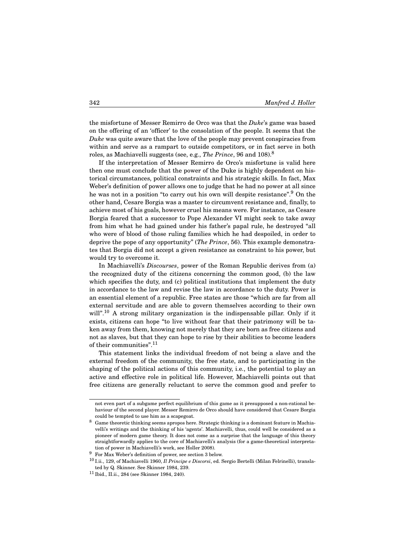the misfortune of Messer Remirro de Orco was that the *Duke*'s game was based on the offering of an 'officer' to the consolation of the people. It seems that the *Duke* was quite aware that the love of the people may prevent conspiracies from within and serve as a rampart to outside competitors, or in fact serve in both roles, as Machiavelli suggests (see, e.g., *The Prince*, 96 and 108).<sup>8</sup>

If the interpretation of Messer Remirro de Orco's misfortune is valid here then one must conclude that the power of the Duke is highly dependent on historical circumstances, political constraints and his strategic skills. In fact, Max Weber's definition of power allows one to judge that he had no power at all since he was not in a position "to carry out his own will despite resistance".<sup>9</sup> On the other hand, Cesare Borgia was a master to circumvent resistance and, finally, to achieve most of his goals, however cruel his means were. For instance, as Cesare Borgia feared that a successor to Pope Alexander VI might seek to take away from him what he had gained under his father's papal rule, he destroyed "all who were of blood of those ruling families which he had despoiled, in order to deprive the pope of any opportunity" (*The Prince*, 56). This example demonstrates that Borgia did not accept a given resistance as constraint to his power, but would try to overcome it.

In Machiavelli's *Discourses*, power of the Roman Republic derives from (a) the recognized duty of the citizens concerning the common good, (b) the law which specifies the duty, and (c) political institutions that implement the duty in accordance to the law and revise the law in accordance to the duty. Power is an essential element of a republic. Free states are those "which are far from all external servitude and are able to govern themselves according to their own will".<sup>10</sup> A strong military organization is the indispensable pillar. Only if it exists, citizens can hope "to live without fear that their patrimony will be taken away from them, knowing not merely that they are born as free citizens and not as slaves, but that they can hope to rise by their abilities to become leaders of their communities".<sup>11</sup>

This statement links the individual freedom of not being a slave and the external freedom of the community, the free state, and to participating in the shaping of the political actions of this community, i.e., the potential to play an active and effective role in political life. However, Machiavelli points out that free citizens are generally reluctant to serve the common good and prefer to

<sup>9</sup> For Max Weber's definition of power, see section 3 below.

not even part of a subgame perfect equilibrium of this game as it presupposed a non-rational behaviour of the second player. Messer Remirro de Orco should have considered that Cesare Borgia could be tempted to use him as a scapegoat.

 $8$  Game theoretic thinking seems apropos here. Strategic thinking is a dominant feature in Machiavelli's writings and the thinking of his 'agents'. Machiavelli, thus, could well be considered as a pioneer of modern game theory. It does not come as a surprise that the language of this theory straightforwardly applies to the core of Machiavelli's analysis (for a game-theoretical interpretation of power in Machiavelli's work, see Holler 2008).

<sup>10</sup> I.ii., 129, of Machiavelli 1960, *Il Principe e Discorsi*, ed. Sergio Bertelli (Milan Felrinelli), translated by Q. Skinner. See Skinner 1984, 239.

<sup>11</sup> Ibid., II.ii., 284 (see Skinner 1984, 240).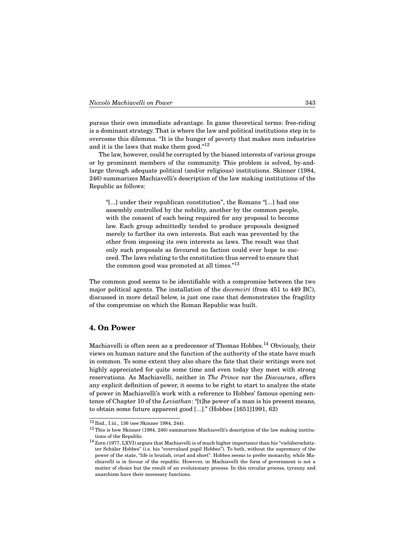pursue their own immediate advantage. In game theoretical terms: free-riding is a dominant strategy. That is where the law and political institutions step in to overcome this dilemma. "It is the hunger of poverty that makes men industries and it is the laws that make them good."<sup>12</sup>

The law, however, could be corrupted by the biased interests of various groups or by prominent members of the community. This problem is solved, by-andlarge through adequate political (and/or religious) institutions. Skinner (1984, 246) summarizes Machiavelli's description of the law making institutions of the Republic as follows:

"[...] under their republican constitution", the Romans "[...] had one assembly controlled by the nobility, another by the common people, with the consent of each being required for any proposal to become law. Each group admittedly tended to produce proposals designed merely to further its own interests. But each was prevented by the other from imposing its own interests as laws. The result was that only such proposals as favoured no faction could ever hope to succeed. The laws relating to the constitution thus served to ensure that the common good was promoted at all times."<sup>13</sup>

The common good seems to be identifiable with a compromise between the two major political agents. The installation of the *decemviri* (from 451 to 449 BC), discussed in more detail below, is just one case that demonstrates the fragility of the compromise on which the Roman Republic was built.

#### **4. On Power**

Machiavelli is often seen as a predecessor of Thomas Hobbes.<sup>14</sup> Obviously, their views on human nature and the function of the authority of the state have much in common. To some extent they also share the fate that their writings were not highly appreciated for quite some time and even today they meet with strong reservations. As Machiavelli, neither in *The Prince* nor the *Discourses*, offers any explicit definition of power, it seems to be right to start to analyze the state of power in Machiavelli's work with a reference to Hobbes' famous opening sentence of Chapter 10 of the *Leviathan*: "[t]he power of a man is his present means, to obtain some future apparent good [...]." (Hobbes [1651]1991, 62)

<sup>12</sup> Ibid., I.iii., 136 (see Skinner 1984, 244).

<sup>13</sup> This is how Skinner (1984, 246) summarizes Machiavelli's description of the law making institutions of the Republic.

 $^{14}$  Zorn (1977, LXVI) argues that Machiavelli is of much higher importance than his "vielüberschätzter Schüler Hobbes" (i.e. his "overvalued pupil Hobbes"). To both, without the supremacy of the power of the state, "life is brutish, cruel and short". Hobbes seems to prefer monarchy, while Machiavelli is in favour of the republic. However, in Machiavelli the form of government is not a matter of choice but the result of an evolutionary process. In this circular process, tyranny and anarchism have their necessary functions.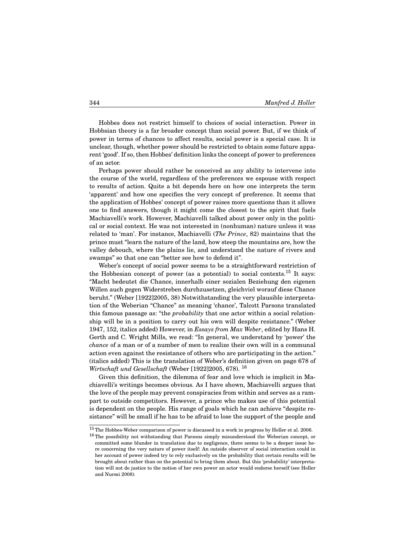Hobbes does not restrict himself to choices of social interaction. Power in Hobbsian theory is a far broader concept than social power. But, if we think of power in terms of chances to affect results, social power is a special case. It is unclear, though, whether power should be restricted to obtain some future apparent 'good'. If so, then Hobbes' definition links the concept of power to preferences of an actor.

Perhaps power should rather be conceived as any ability to intervene into the course of the world, regardless of the preferences we espouse with respect to results of action. Quite a bit depends here on how one interprets the term 'apparent' and how one specifies the very concept of preference. It seems that the application of Hobbes' concept of power raises more questions than it allows one to find answers, though it might come the closest to the spirit that fuels Machiavelli's work. However, Machiavelli talked about power only in the political or social context. He was not interested in (nonhuman) nature unless it was related to 'man'. For instance, Machiavelli (*The Prince*, 82) maintains that the prince must "learn the nature of the land, how steep the mountains are, how the valley debouch, where the plains lie, and understand the nature of rivers and swamps" so that one can "better see how to defend it".

Weber's concept of social power seems to be a straightforward restriction of the Hobbesian concept of power (as a potential) to social contexts.<sup>15</sup> It says: "Macht bedeutet die Chance, innerhalb einer sozialen Beziehung den eigenen Willen auch gegen Widerstreben durchzusetzen, gleichviel worauf diese Chance beruht." (Weber [1922]2005, 38) Notwithstanding the very plausible interpretation of the Weberian "Chance" as meaning 'chance', Talcott Parsons translated this famous passage as: "the *probability* that one actor within a social relationship will be in a position to carry out his own will despite resistance." (Weber 1947, 152, italics added) However, in *Essays from Max Weber*, edited by Hans H. Gerth and C. Wright Mills, we read: "In general, we understand by 'power' the *chance* of a man or of a number of men to realize their own will in a communal action even against the resistance of others who are participating in the action." (italics added) This is the translation of Weber's definition given on page 678 of *Wirtschaft und Gesellschaft* (Weber [1922]2005, 678). <sup>16</sup>

Given this definition, the dilemma of fear and love which is implicit in Machiavelli's writings becomes obvious. As I have shown, Machiavelli argues that the love of the people may prevent conspiracies from within and serves as a rampart to outside competitors. However, a prince who makes use of this potential is dependent on the people. His range of goals which he can achieve "despite resistance" will be small if he has to be afraid to lose the support of the people and

<sup>15</sup> The Hobbes-Weber comparison of power is discussed in a work in progress by Holler et al. 2006.

 $16$  The possibility not withstanding that Parsons simply misunderstood the Weberian concept, or committed some blunder in translation due to negligence, there seems to be a deeper issue here concerning the very nature of power itself: An outside observer of social interaction could in her account of power indeed try to rely exclusively on the probability that certain results will be brought about rather than on the potential to bring them about. But this 'probability' interpretation will not do justice to the notion of her own power an actor would endorse herself (see Holler and Nurmi 2008).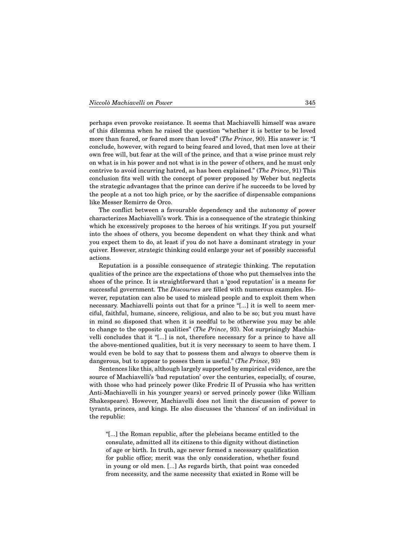perhaps even provoke resistance. It seems that Machiavelli himself was aware of this dilemma when he raised the question "whether it is better to be loved more than feared, or feared more than loved" (*The Prince*, 90). His answer is: "I conclude, however, with regard to being feared and loved, that men love at their own free will, but fear at the will of the prince, and that a wise prince must rely on what is in his power and not what is in the power of others, and he must only contrive to avoid incurring hatred, as has been explained." (*The Prince*, 91) This conclusion fits well with the concept of power proposed by Weber but neglects the strategic advantages that the prince can derive if he succeeds to be loved by the people at a not too high price, or by the sacrifice of dispensable companions like Messer Remirro de Orco.

The conflict between a favourable dependency and the autonomy of power characterizes Machiavelli's work. This is a consequence of the strategic thinking which he excessively proposes to the heroes of his writings. If you put yourself into the shoes of others, you become dependent on what they think and what you expect them to do, at least if you do not have a dominant strategy in your quiver. However, strategic thinking could enlarge your set of possibly successful actions.

Reputation is a possible consequence of strategic thinking. The reputation qualities of the prince are the expectations of those who put themselves into the shoes of the prince. It is straightforward that a 'good reputation' is a means for successful government. The *Discourses* are filled with numerous examples. However, reputation can also be used to mislead people and to exploit them when necessary. Machiavelli points out that for a prince "[...] it is well to seem merciful, faithful, humane, sincere, religious, and also to be so; but you must have in mind so disposed that when it is needful to be otherwise you may be able to change to the opposite qualities" (*The Prince*, 93). Not surprisingly Machiavelli concludes that it "[...] is not, therefore necessary for a prince to have all the above-mentioned qualities, but it is very necessary to seem to have them. I would even be bold to say that to possess them and always to observe them is dangerous, but to appear to posses them is useful." (*The Prince*, 93)

Sentences like this, although largely supported by empirical evidence, are the source of Machiavelli's 'bad reputation' over the centuries, especially, of course, with those who had princely power (like Fredric II of Prussia who has written Anti-Machiavelli in his younger years) or served princely power (like William Shakespeare). However, Machiavelli does not limit the discussion of power to tyrants, princes, and kings. He also discusses the 'chances' of an individual in the republic:

"[...] the Roman republic, after the plebeians became entitled to the consulate, admitted all its citizens to this dignity without distinction of age or birth. In truth, age never formed a necessary qualification for public office; merit was the only consideration, whether found in young or old men. [...] As regards birth, that point was conceded from necessity, and the same necessity that existed in Rome will be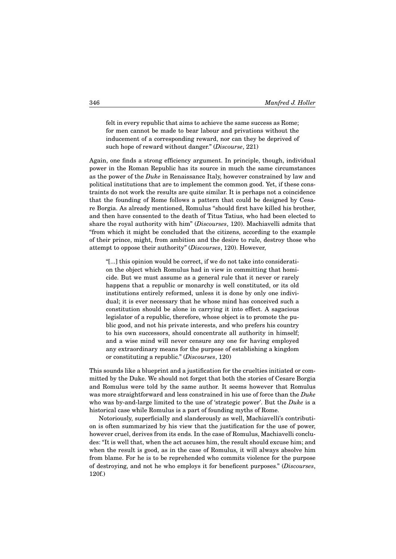felt in every republic that aims to achieve the same success as Rome; for men cannot be made to bear labour and privations without the inducement of a corresponding reward, nor can they be deprived of such hope of reward without danger." (*Discourse*, 221)

Again, one finds a strong efficiency argument. In principle, though, individual power in the Roman Republic has its source in much the same circumstances as the power of the *Duke* in Renaissance Italy, however constrained by law and political institutions that are to implement the common good. Yet, if these constraints do not work the results are quite similar. It is perhaps not a coincidence that the founding of Rome follows a pattern that could be designed by Cesare Borgia. As already mentioned, Romulus "should first have killed his brother, and then have consented to the death of Titus Tatius, who had been elected to share the royal authority with him" (*Discourses*, 120). Machiavelli admits that "from which it might be concluded that the citizens, according to the example of their prince, might, from ambition and the desire to rule, destroy those who attempt to oppose their authority" (*Discourses*, 120). However,

"[...] this opinion would be correct, if we do not take into consideration the object which Romulus had in view in committing that homicide. But we must assume as a general rule that it never or rarely happens that a republic or monarchy is well constituted, or its old institutions entirely reformed, unless it is done by only one individual; it is ever necessary that he whose mind has conceived such a constitution should be alone in carrying it into effect. A sagacious legislator of a republic, therefore, whose object is to promote the public good, and not his private interests, and who prefers his country to his own successors, should concentrate all authority in himself; and a wise mind will never censure any one for having employed any extraordinary means for the purpose of establishing a kingdom or constituting a republic." (*Discourses*, 120)

This sounds like a blueprint and a justification for the cruelties initiated or committed by the Duke. We should not forget that both the stories of Cesare Borgia and Romulus were told by the same author. It seems however that Romulus was more straightforward and less constrained in his use of force than the *Duke* who was by-and-large limited to the use of 'strategic power'. But the *Duke* is a historical case while Romulus is a part of founding myths of Rome.

Notoriously, superficially and slanderously as well, Machiavelli's contribution is often summarized by his view that the justification for the use of power, however cruel, derives from its ends. In the case of Romulus, Machiavelli concludes: "It is well that, when the act accuses him, the result should excuse him; and when the result is good, as in the case of Romulus, it will always absolve him from blame. For he is to be reprehended who commits violence for the purpose of destroying, and not he who employs it for beneficent purposes." (*Discourses*, 120f.)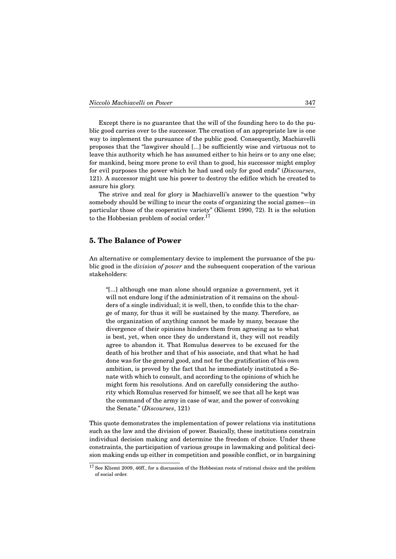Except there is no guarantee that the will of the founding hero to do the public good carries over to the successor. The creation of an appropriate law is one way to implement the pursuance of the public good. Consequently, Machiavelli proposes that the "lawgiver should [...] be sufficiently wise and virtuous not to leave this authority which he has assumed either to his heirs or to any one else; for mankind, being more prone to evil than to good, his successor might employ for evil purposes the power which he had used only for good ends" (*Discourses*, 121). A successor might use his power to destroy the edifice which he created to assure his glory.

The strive and zeal for glory is Machiavelli's answer to the question "why somebody should be willing to incur the costs of organizing the social games—in particular those of the cooperative variety" (Kliemt 1990, 72). It is the solution to the Hobbesian problem of social order. $17$ 

#### **5. The Balance of Power**

An alternative or complementary device to implement the pursuance of the public good is the *division of power* and the subsequent cooperation of the various stakeholders:

"[...] although one man alone should organize a government, yet it will not endure long if the administration of it remains on the shoulders of a single individual; it is well, then, to confide this to the charge of many, for thus it will be sustained by the many. Therefore, as the organization of anything cannot be made by many, because the divergence of their opinions hinders them from agreeing as to what is best, yet, when once they do understand it, they will not readily agree to abandon it. That Romulus deserves to be excused for the death of his brother and that of his associate, and that what he had done was for the general good, and not for the gratification of his own ambition, is proved by the fact that he immediately instituted a Senate with which to consult, and according to the opinions of which he might form his resolutions. And on carefully considering the authority which Romulus reserved for himself, we see that all he kept was the command of the army in case of war, and the power of convoking the Senate." (*Discourses*, 121)

This quote demonstrates the implementation of power relations via institutions such as the law and the division of power. Basically, these institutions constrain individual decision making and determine the freedom of choice. Under these constraints, the participation of various groups in lawmaking and political decision making ends up either in competition and possible conflict, or in bargaining

<sup>&</sup>lt;sup>17</sup> See Kliemt 2009, 46ff., for a discussion of the Hobbesian roots of rational choice and the problem of social order.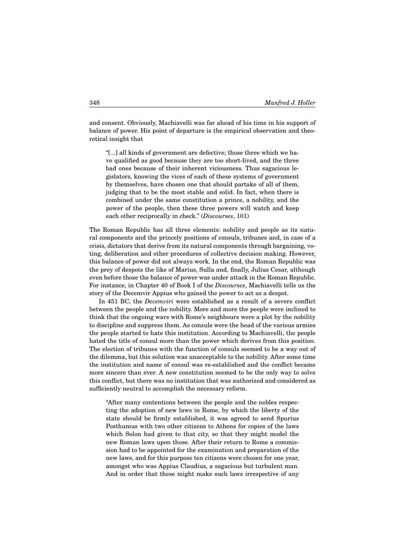and consent. Obviously, Machiavelli was far ahead of his time in his support of balance of power. His point of departure is the empirical observation and theoretical insight that

"[...] all kinds of government are defective; those three which we have qualified as good because they are too short-lived, and the three bad ones because of their inherent viciousness. Thus sagacious legislators, knowing the vices of each of these systems of government by themselves, have chosen one that should partake of all of them, judging that to be the most stable and solid. In fact, when there is combined under the same constitution a prince, a nobility, and the power of the people, then these three powers will watch and keep each other reciprocally in check." (*Discourses*, 101)

The Roman Republic has all three elements: nobility and people as its natural components and the princely positions of consuls, tribunes and, in case of a crisis, dictators that derive from its natural components through bargaining, voting, deliberation and other procedures of collective decision making. However, this balance of power did not always work. In the end, the Roman Republic was the prey of despots the like of Marius, Sulla and, finally, Julius Cesar, although even before those the balance of power was under attack in the Roman Republic. For instance, in Chapter 40 of Book I of the *Discourses*, Machiavelli tells us the story of the Decemvir Appius who gained the power to act as a despot.

In 451 BC, the *Decemviri* were established as a result of a severe conflict between the people and the nobility. More and more the people were inclined to think that the ongoing wars with Rome's neighbours were a plot by the nobility to discipline and suppress them. As consuls were the head of the various armies the people started to hate this institution. According to Machiavelli, the people hated the title of consul more than the power which derives from this position. The election of tribunes with the function of consuls seemed to be a way out of the dilemma, but this solution was unacceptable to the nobility. After some time the institution and name of consul was re-established and the conflict became more sincere than ever. A new constitution seemed to be the only way to solve this conflict, but there was no institution that was authorized and considered as sufficiently neutral to accomplish the necessary reform.

"After many contentions between the people and the nobles respecting the adoption of new laws in Rome, by which the liberty of the state should be firmly established, it was agreed to send Spurius Posthumus with two other citizens to Athens for copies of the laws which Solon had given to that city, so that they might model the new Roman laws upon those. After their return to Rome a commission had to be appointed for the examination and preparation of the new laws, and for this purpose ten citizens were chosen for one year, amongst who was Appius Claudius, a sagacious but turbulent man. And in order that these might make such laws irrespective of any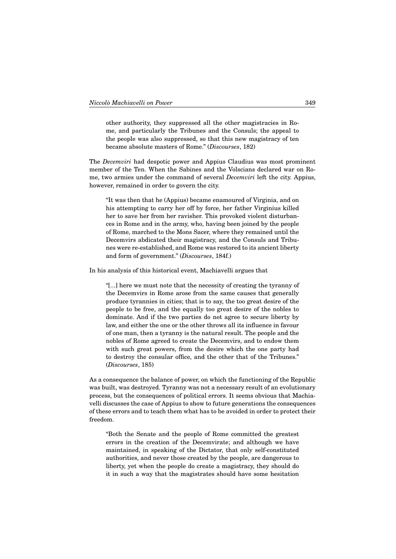other authority, they suppressed all the other magistracies in Rome, and particularly the Tribunes and the Consuls; the appeal to the people was also suppressed, so that this new magistracy of ten became absolute masters of Rome." (*Discourses*, 182)

The *Decemviri* had despotic power and Appius Claudius was most prominent member of the Ten. When the Sabines and the Volscians declared war on Rome, two armies under the command of several *Decemviri* left the city. Appius, however, remained in order to govern the city.

"It was then that he (Appius) became enamoured of Virginia, and on his attempting to carry her off by force, her father Virginius killed her to save her from her ravisher. This provoked violent disturbances in Rome and in the army, who, having been joined by the people of Rome, marched to the Mons Sacer, where they remained until the Decemvirs abdicated their magistracy, and the Consuls and Tribunes were re-established, and Rome was restored to its ancient liberty and form of government." (*Discourses*, 184f.)

In his analysis of this historical event, Machiavelli argues that

"[...] here we must note that the necessity of creating the tyranny of the Decemvirs in Rome arose from the same causes that generally produce tyrannies in cities; that is to say, the too great desire of the people to be free, and the equally too great desire of the nobles to dominate. And if the two parties do not agree to secure liberty by law, and either the one or the other throws all its influence in favour of one man, then a tyranny is the natural result. The people and the nobles of Rome agreed to create the Decemvirs, and to endow them with such great powers, from the desire which the one party had to destroy the consular office, and the other that of the Tribunes." (*Discourses*, 185)

As a consequence the balance of power, on which the functioning of the Republic was built, was destroyed. Tyranny was not a necessary result of an evolutionary process, but the consequences of political errors. It seems obvious that Machiavelli discusses the case of Appius to show to future generations the consequences of these errors and to teach them what has to be avoided in order to protect their freedom.

"Both the Senate and the people of Rome committed the greatest errors in the creation of the Decemvirate; and although we have maintained, in speaking of the Dictator, that only self-constituted authorities, and never those created by the people, are dangerous to liberty, yet when the people do create a magistracy, they should do it in such a way that the magistrates should have some hesitation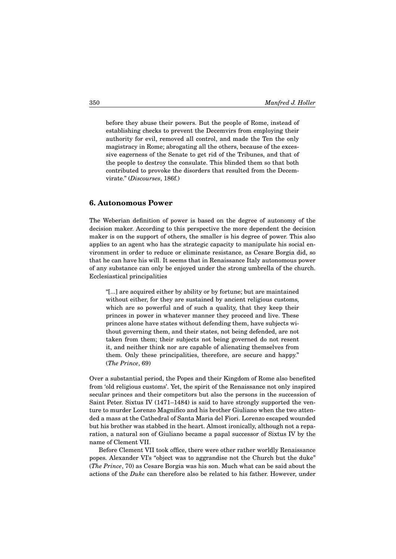before they abuse their powers. But the people of Rome, instead of establishing checks to prevent the Decemvirs from employing their authority for evil, removed all control, and made the Ten the only magistracy in Rome; abrogating all the others, because of the excessive eagerness of the Senate to get rid of the Tribunes, and that of the people to destroy the consulate. This blinded them so that both contributed to provoke the disorders that resulted from the Decemvirate." (*Discourses*, 186f.)

#### **6. Autonomous Power**

The Weberian definition of power is based on the degree of autonomy of the decision maker. According to this perspective the more dependent the decision maker is on the support of others, the smaller is his degree of power. This also applies to an agent who has the strategic capacity to manipulate his social environment in order to reduce or eliminate resistance, as Cesare Borgia did, so that he can have his will. It seems that in Renaissance Italy autonomous power of any substance can only be enjoyed under the strong umbrella of the church. Ecclesiastical principalities

"[...] are acquired either by ability or by fortune; but are maintained without either, for they are sustained by ancient religious customs, which are so powerful and of such a quality, that they keep their princes in power in whatever manner they proceed and live. These princes alone have states without defending them, have subjects without governing them, and their states, not being defended, are not taken from them; their subjects not being governed do not resent it, and neither think nor are capable of alienating themselves from them. Only these principalities, therefore, are secure and happy." (*The Prince*, 69)

Over a substantial period, the Popes and their Kingdom of Rome also benefited from 'old religious customs'. Yet, the spirit of the Renaissance not only inspired secular princes and their competitors but also the persons in the succession of Saint Peter. Sixtus IV (1471–1484) is said to have strongly supported the venture to murder Lorenzo Magnifico and his brother Giuliano when the two attended a mass at the Cathedral of Santa Maria del Fiori. Lorenzo escaped wounded but his brother was stabbed in the heart. Almost ironically, although not a reparation, a natural son of Giuliano became a papal successor of Sixtus IV by the name of Clement VII.

Before Clement VII took office, there were other rather worldly Renaissance popes. Alexander VI's "object was to aggrandise not the Church but the duke" (*The Prince*, 70) as Cesare Borgia was his son. Much what can be said about the actions of the *Duke* can therefore also be related to his father. However, under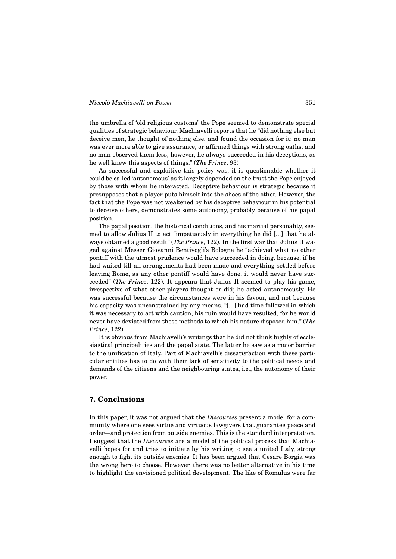the umbrella of 'old religious customs' the Pope seemed to demonstrate special qualities of strategic behaviour. Machiavelli reports that he "did nothing else but deceive men, he thought of nothing else, and found the occasion for it; no man was ever more able to give assurance, or affirmed things with strong oaths, and no man observed them less; however, he always succeeded in his deceptions, as he well knew this aspects of things." (*The Prince*, 93)

As successful and exploitive this policy was, it is questionable whether it could be called 'autonomous' as it largely depended on the trust the Pope enjoyed by those with whom he interacted. Deceptive behaviour is strategic because it presupposes that a player puts himself into the shoes of the other. However, the fact that the Pope was not weakened by his deceptive behaviour in his potential to deceive others, demonstrates some autonomy, probably because of his papal position.

The papal position, the historical conditions, and his martial personality, seemed to allow Julius II to act "impetuously in everything he did [...] that he always obtained a good result" (*The Prince*, 122). In the first war that Julius II waged against Messer Giovanni Bentivogli's Bologna he "achieved what no other pontiff with the utmost prudence would have succeeded in doing, because, if he had waited till all arrangements had been made and everything settled before leaving Rome, as any other pontiff would have done, it would never have succeeded" (*The Prince*, 122). It appears that Julius II seemed to play his game, irrespective of what other players thought or did; he acted autonomously. He was successful because the circumstances were in his favour, and not because his capacity was unconstrained by any means. "[...] had time followed in which it was necessary to act with caution, his ruin would have resulted, for he would never have deviated from these methods to which his nature disposed him." (*The Prince*, 122)

It is obvious from Machiavelli's writings that he did not think highly of ecclesiastical principalities and the papal state. The latter he saw as a major barrier to the unification of Italy. Part of Machiavelli's dissatisfaction with these particular entities has to do with their lack of sensitivity to the political needs and demands of the citizens and the neighbouring states, i.e., the autonomy of their power.

# **7. Conclusions**

In this paper, it was not argued that the *Discourses* present a model for a community where one sees virtue and virtuous lawgivers that guarantee peace and order—and protection from outside enemies. This is the standard interpretation. I suggest that the *Discourses* are a model of the political process that Machiavelli hopes for and tries to initiate by his writing to see a united Italy, strong enough to fight its outside enemies. It has been argued that Cesare Borgia was the wrong hero to choose. However, there was no better alternative in his time to highlight the envisioned political development. The like of Romulus were far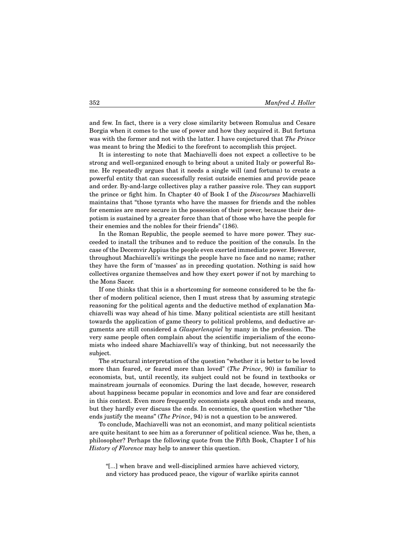and few. In fact, there is a very close similarity between Romulus and Cesare Borgia when it comes to the use of power and how they acquired it. But fortuna was with the former and not with the latter. I have conjectured that *The Prince* was meant to bring the Medici to the forefront to accomplish this project.

It is interesting to note that Machiavelli does not expect a collective to be strong and well-organized enough to bring about a united Italy or powerful Rome. He repeatedly argues that it needs a single will (and fortuna) to create a powerful entity that can successfully resist outside enemies and provide peace and order. By-and-large collectives play a rather passive role. They can support the prince or fight him. In Chapter 40 of Book I of the *Discourses* Machiavelli maintains that "those tyrants who have the masses for friends and the nobles for enemies are more secure in the possession of their power, because their despotism is sustained by a greater force than that of those who have the people for their enemies and the nobles for their friends" (186).

In the Roman Republic, the people seemed to have more power. They succeeded to install the tribunes and to reduce the position of the consuls. In the case of the Decemvir Appius the people even exerted immediate power. However, throughout Machiavelli's writings the people have no face and no name; rather they have the form of 'masses' as in preceding quotation. Nothing is said how collectives organize themselves and how they exert power if not by marching to the Mons Sacer.

If one thinks that this is a shortcoming for someone considered to be the father of modern political science, then I must stress that by assuming strategic reasoning for the political agents and the deductive method of explanation Machiavelli was way ahead of his time. Many political scientists are still hesitant towards the application of game theory to political problems, and deductive arguments are still considered a *Glasperlenspiel* by many in the profession. The very same people often complain about the scientific imperialism of the economists who indeed share Machiavelli's way of thinking, but not necessarily the subject.

The structural interpretation of the question "whether it is better to be loved more than feared, or feared more than loved" (*The Prince*, 90) is familiar to economists, but, until recently, its subject could not be found in textbooks or mainstream journals of economics. During the last decade, however, research about happiness became popular in economics and love and fear are considered in this context. Even more frequently economists speak about ends and means, but they hardly ever discuss the ends. In economics, the question whether "the ends justify the means" (*The Prince*, 94) is not a question to be answered.

To conclude, Machiavelli was not an economist, and many political scientists are quite hesitant to see him as a forerunner of political science. Was he, then, a philosopher? Perhaps the following quote from the Fifth Book, Chapter I of his *History of Florence* may help to answer this question.

"[...] when brave and well-disciplined armies have achieved victory, and victory has produced peace, the vigour of warlike spirits cannot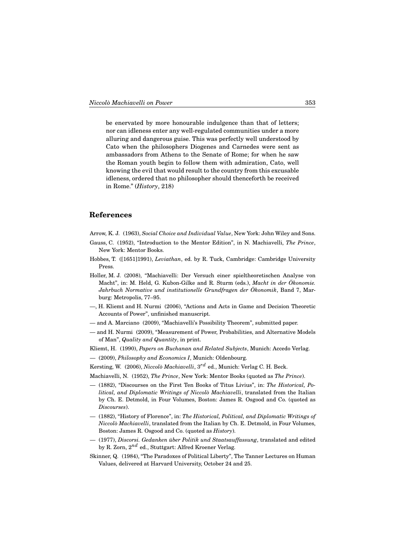be enervated by more honourable indulgence than that of letters; nor can idleness enter any well-regulated communities under a more alluring and dangerous guise. This was perfectly well understood by Cato when the philosophers Diogenes and Carnedes were sent as ambassadors from Athens to the Senate of Rome; for when he saw the Roman youth begin to follow them with admiration, Cato, well knowing the evil that would result to the country from this excusable idleness, ordered that no philosopher should thenceforth be received in Rome." (*History*, 218)

# **References**

Arrow, K. J. (1963), *Social Choice and Individual Value*, New York: John Wiley and Sons.

- Gauss, C. (1952), "Introduction to the Mentor Edition", in N. Machiavelli, *The Prince*, New York: Mentor Books.
- Hobbes, T. ([1651]1991), *Leviathan*, ed. by R. Tuck, Cambridge: Cambridge University Press.
- Holler, M. J. (2008), "Machiavelli: Der Versuch einer spieltheoretischen Analyse von Macht", in: M. Held, G. Kubon-Gilke and R. Sturm (eds.), *Macht in der Ökonomie. Jahrbuch Normative und institutionelle Grundfragen der Ökonomik*, Band 7, Marburg: Metropolis, 77–95.
- —, H. Kliemt and H. Nurmi (2006), "Actions and Acts in Game and Decision Theoretic Accounts of Power", unfinished manuscript.
- and A. Marciano (2009), "Machiavelli's Possibility Theorem", submitted paper.
- and H. Nurmi (2009), "Measurement of Power, Probabilities, and Alternative Models of Man", *Quality and Quantity*, in print.
- Kliemt, H. (1990), *Papers on Buchanan and Related Subjects*, Munich: Accedo Verlag.
- (2009), *Philosophy and Economics I*, Munich: Oldenbourg.
- Kersting, W. (2006), *Niccolò Machiavelli*, 3*rd* ed., Munich: Verlag C. H. Beck.
- Machiavelli, N. (1952), *The Prince*, New York: Mentor Books (quoted as *The Prince*).
- (1882), "Discourses on the First Ten Books of Titus Livius", in: *The Historical, Political, and Diplomatic Writings of Niccolò Machiavelli*, translated from the Italian by Ch. E. Detmold, in Four Volumes, Boston: James R. Osgood and Co. (quoted as *Discourses*).
- (1882), "History of Florence", in: *The Historical, Political, and Diplomatic Writings of Niccolò Machiavelli*, translated from the Italian by Ch. E. Detmold, in Four Volumes, Boston: James R. Osgood and Co. (quoted as *History*).
- (1977), *Discorsi. Gedanken über Politik und Staatsauffassung*, translated and edited by R. Zorn, 2*nd* ed., Stuttgart: Alfred Kroener Verlag.
- Skinner, Q. (1984), "The Paradoxes of Political Liberty", The Tanner Lectures on Human Values, delivered at Harvard University, October 24 and 25.